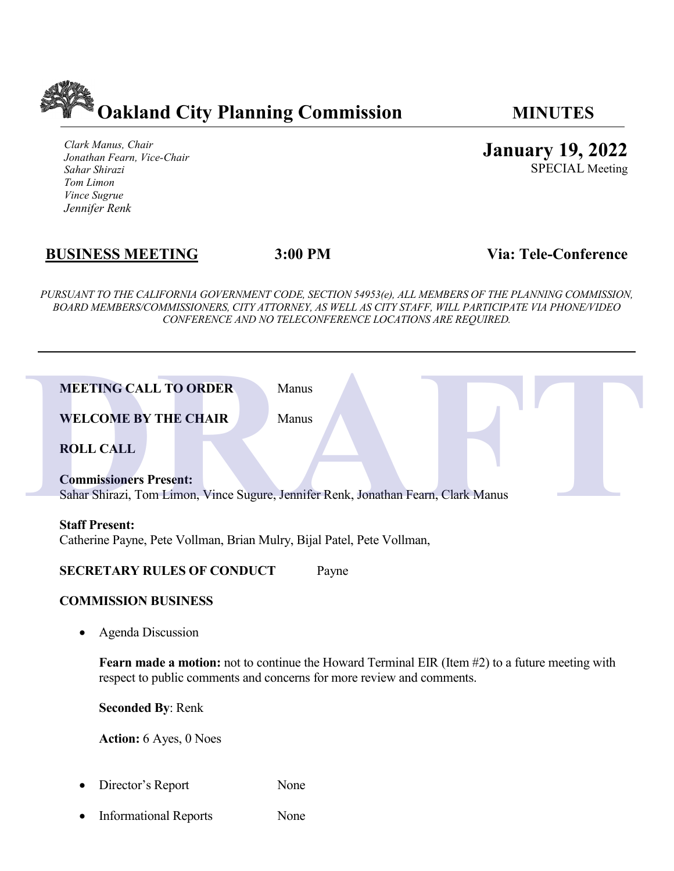

*Clark Manus, Chair Jonathan Fearn, Vice-Chair Sahar Shirazi Tom Limon Vince Sugrue Jennifer Renk*

# **BUSINESS MEETING 3:00 PM Via: Tele-Conference**

*PURSUANT TO THE CALIFORNIA GOVERNMENT CODE, SECTION 54953(e), ALL MEMBERS OF THE PLANNING COMMISSION, BOARD MEMBERS/COMMISSIONERS, CITY ATTORNEY, AS WELL AS CITY STAFF, WILL PARTICIPATE VIA PHONE/VIDEO CONFERENCE AND NO TELECONFERENCE LOCATIONS ARE REQUIRED.*

| <b>MEETING CALL TO ORDER</b><br>Manus                                                                                                                                           |  |
|---------------------------------------------------------------------------------------------------------------------------------------------------------------------------------|--|
| <b>WELCOME BY THE CHAIR</b><br>Manus                                                                                                                                            |  |
| <b>ROLL CALL</b>                                                                                                                                                                |  |
| <b>Commissioners Present:</b><br>Sahar Shirazi, Tom Limon, Vince Sugure, Jennifer Renk, Jonathan Fearn, Clark Manus                                                             |  |
| <b>Staff Present:</b><br>Catherine Payne, Pete Vollman, Brian Mulry, Bijal Patel, Pete Vollman,                                                                                 |  |
| <b>SECRETARY RULES OF CONDUCT</b><br>Payne                                                                                                                                      |  |
| <b>COMMISSION BUSINESS</b>                                                                                                                                                      |  |
| <b>Agenda Discussion</b>                                                                                                                                                        |  |
| <b>Fearn made a motion:</b> not to continue the Howard Terminal EIR (Item #2) to a future meeting with<br>respect to public comments and concerns for more review and comments. |  |
| <b>Seconded By: Renk</b>                                                                                                                                                        |  |
| Action: 6 Ayes, 0 Noes                                                                                                                                                          |  |
| None<br>Director's Report                                                                                                                                                       |  |

- 
- Informational Reports None

**January 19, 2022**

SPECIAL Meeting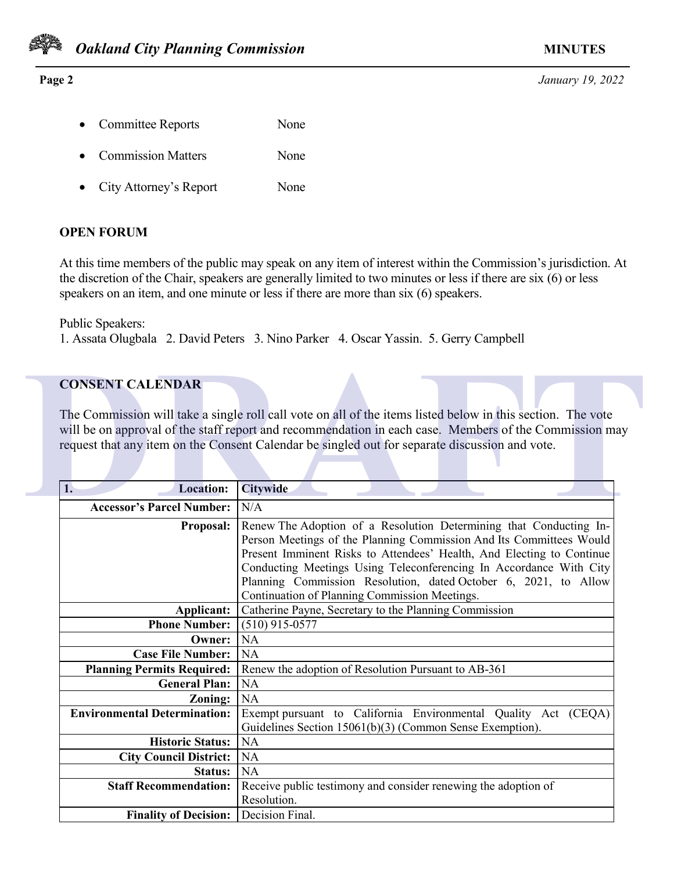

### **Page 2** *January 19, 2022*

- Committee Reports None
- Commission Matters None
- City Attorney's Report None

## **OPEN FORUM**

At this time members of the public may speak on any item of interest within the Commission's jurisdiction. At the discretion of the Chair, speakers are generally limited to two minutes or less if there are six (6) or less speakers on an item, and one minute or less if there are more than six (6) speakers.

Public Speakers:

1. Assata Olugbala 2. David Peters 3. Nino Parker 4. Oscar Yassin. 5. Gerry Campbell

# **CONSENT CALENDAR**

| <b>CONSENT CALENDAR</b>               | The Commission will take a single roll call vote on all of the items listed below in this section. The vote<br>will be on approval of the staff report and recommendation in each case. Members of the Commission may<br>request that any item on the Consent Calendar be singled out for separate discussion and vote.                                                                                      |
|---------------------------------------|--------------------------------------------------------------------------------------------------------------------------------------------------------------------------------------------------------------------------------------------------------------------------------------------------------------------------------------------------------------------------------------------------------------|
| 1.<br><b>Location:</b>                | <b>Citywide</b>                                                                                                                                                                                                                                                                                                                                                                                              |
| <b>Accessor's Parcel Number:</b>      | N/A                                                                                                                                                                                                                                                                                                                                                                                                          |
| <b>Proposal:</b>                      | Renew The Adoption of a Resolution Determining that Conducting In-<br>Person Meetings of the Planning Commission And Its Committees Would<br>Present Imminent Risks to Attendees' Health, And Electing to Continue<br>Conducting Meetings Using Teleconferencing In Accordance With City<br>Planning Commission Resolution, dated October 6, 2021, to Allow<br>Continuation of Planning Commission Meetings. |
| Applicant:                            | Catherine Payne, Secretary to the Planning Commission                                                                                                                                                                                                                                                                                                                                                        |
| <b>Phone Number:</b>                  | $(510)$ 915-0577                                                                                                                                                                                                                                                                                                                                                                                             |
| Owner:                                | <b>NA</b>                                                                                                                                                                                                                                                                                                                                                                                                    |
| <b>Case File Number:</b>              | <b>NA</b>                                                                                                                                                                                                                                                                                                                                                                                                    |
| <b>Planning Permits Required:</b>     | Renew the adoption of Resolution Pursuant to AB-361                                                                                                                                                                                                                                                                                                                                                          |
| <b>General Plan:</b>                  | <b>NA</b>                                                                                                                                                                                                                                                                                                                                                                                                    |
| Zoning:                               | <b>NA</b>                                                                                                                                                                                                                                                                                                                                                                                                    |
| <b>Environmental Determination:</b>   | Exempt pursuant to California Environmental Quality Act (CEQA)<br>Guidelines Section 15061(b)(3) (Common Sense Exemption).                                                                                                                                                                                                                                                                                   |
| <b>Historic Status:</b>               | NA                                                                                                                                                                                                                                                                                                                                                                                                           |
| <b>City Council District:</b>         | <b>NA</b>                                                                                                                                                                                                                                                                                                                                                                                                    |
| <b>Status:</b>                        | <b>NA</b>                                                                                                                                                                                                                                                                                                                                                                                                    |
| <b>Staff Recommendation:</b>          | Receive public testimony and consider renewing the adoption of<br>Resolution.                                                                                                                                                                                                                                                                                                                                |
| Finality of Decision: Decision Final. |                                                                                                                                                                                                                                                                                                                                                                                                              |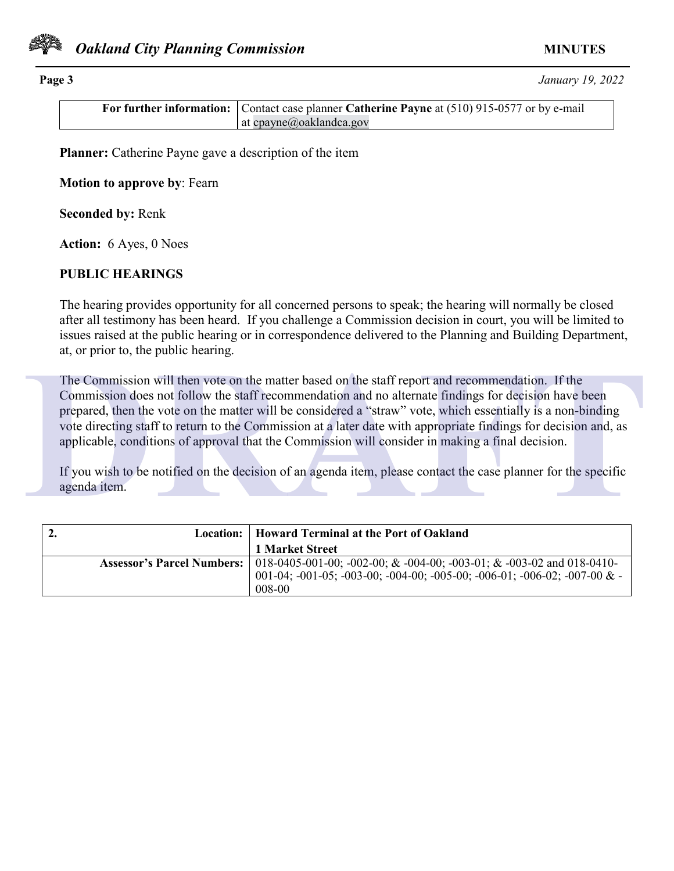

**Page 3** *January 19, 2022*

| <b>For further information:</b> Contact case planner Catherine Payne at (510) 915-0577 or by e-mail |
|-----------------------------------------------------------------------------------------------------|
| at cpayne@oaklandca.gov                                                                             |

**Planner:** Catherine Payne gave a description of the item

**Motion to approve by**: Fearn

**Seconded by:** Renk

**Action:** 6 Ayes, 0 Noes

### **PUBLIC HEARINGS**

The hearing provides opportunity for all concerned persons to speak; the hearing will normally be closed after all testimony has been heard. If you challenge a Commission decision in court, you will be limited to issues raised at the public hearing or in correspondence delivered to the Planning and Building Department, at, or prior to, the public hearing.

The Commission will then vote on the matter based on the staff report and recommendation. If the Commission does not follow the staff recommendation and no alternate findings for decision have been prepared, then the vote on the matter will be considered a "straw" vote, which essentially is a non-binding vote directing staff to return to the Commission at a later date with appropriate findings for decision and, as applicable, conditions of approval that the Commission will consider in making a final decision. The Commission will then vote on the matter based on the staff report and recommendation. If the<br>Commission does not follow the staff recommendation and no alternate findings for decision have been<br>prepared, then the vote

If you wish to be notified on the decision of an agenda item, please contact the case planner for the specific agenda item.

| $\overline{2}$ .<br>Location: 1 | Howard Terminal at the Port of Oakland                                                             |
|---------------------------------|----------------------------------------------------------------------------------------------------|
|                                 | 1 Market Street                                                                                    |
|                                 | Assessor's Parcel Numbers:   018-0405-001-00; -002-00; & -004-00; -003-01; & -003-02 and 018-0410- |
|                                 | 001-04; -001-05; -003-00; -004-00; -005-00; -006-01; -006-02; -007-00 $&$ -<br>$008-00$            |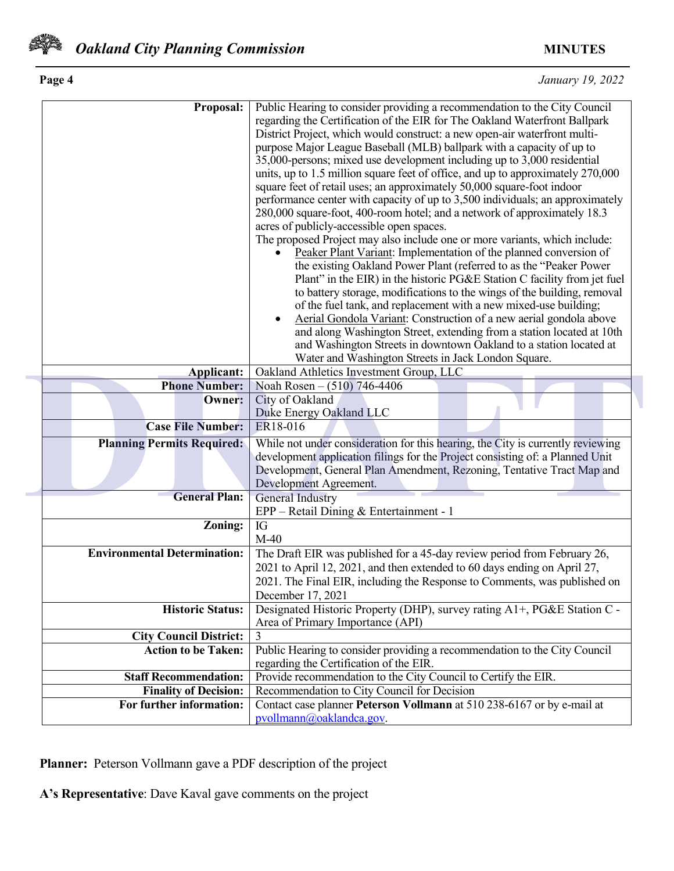

| Page 4 | January 19, 2022 |
|--------|------------------|
|        |                  |

| Proposal:                           | Public Hearing to consider providing a recommendation to the City Council       |
|-------------------------------------|---------------------------------------------------------------------------------|
|                                     | regarding the Certification of the EIR for The Oakland Waterfront Ballpark      |
|                                     | District Project, which would construct: a new open-air waterfront multi-       |
|                                     | purpose Major League Baseball (MLB) ballpark with a capacity of up to           |
|                                     | 35,000-persons; mixed use development including up to 3,000 residential         |
|                                     | units, up to 1.5 million square feet of office, and up to approximately 270,000 |
|                                     | square feet of retail uses; an approximately 50,000 square-foot indoor          |
|                                     |                                                                                 |
|                                     | performance center with capacity of up to 3,500 individuals; an approximately   |
|                                     | 280,000 square-foot, 400-room hotel; and a network of approximately 18.3        |
|                                     | acres of publicly-accessible open spaces.                                       |
|                                     | The proposed Project may also include one or more variants, which include:      |
|                                     | Peaker Plant Variant: Implementation of the planned conversion of               |
|                                     | the existing Oakland Power Plant (referred to as the "Peaker Power              |
|                                     | Plant" in the EIR) in the historic PG&E Station C facility from jet fuel        |
|                                     | to battery storage, modifications to the wings of the building, removal         |
|                                     | of the fuel tank, and replacement with a new mixed-use building;                |
|                                     | Aerial Gondola Variant: Construction of a new aerial gondola above              |
|                                     | and along Washington Street, extending from a station located at 10th           |
|                                     | and Washington Streets in downtown Oakland to a station located at              |
|                                     | Water and Washington Streets in Jack London Square.                             |
| <b>Applicant:</b>                   | Oakland Athletics Investment Group, LLC                                         |
| <b>Phone Number:</b>                | Noah Rosen – (510) 746-4406                                                     |
| <b>Owner:</b>                       | City of Oakland                                                                 |
|                                     | Duke Energy Oakland LLC                                                         |
| <b>Case File Number:</b>            | ER18-016                                                                        |
| <b>Planning Permits Required:</b>   | While not under consideration for this hearing, the City is currently reviewing |
|                                     | development application filings for the Project consisting of: a Planned Unit   |
|                                     | Development, General Plan Amendment, Rezoning, Tentative Tract Map and          |
|                                     | Development Agreement.                                                          |
| <b>General Plan:</b>                | <b>General Industry</b>                                                         |
|                                     | EPP - Retail Dining & Entertainment - 1                                         |
| Zoning:                             | IG                                                                              |
|                                     | $M-40$                                                                          |
| <b>Environmental Determination:</b> |                                                                                 |
|                                     | The Draft EIR was published for a 45-day review period from February 26,        |
|                                     | 2021 to April 12, 2021, and then extended to 60 days ending on April 27,        |
|                                     | 2021. The Final EIR, including the Response to Comments, was published on       |
|                                     | December 17, 2021                                                               |
| <b>Historic Status:</b>             | Designated Historic Property (DHP), survey rating A1+, PG&E Station C -         |
|                                     | Area of Primary Importance (API)                                                |
| <b>City Council District:</b>       |                                                                                 |
| <b>Action to be Taken:</b>          | Public Hearing to consider providing a recommendation to the City Council       |
|                                     | regarding the Certification of the EIR.                                         |
| <b>Staff Recommendation:</b>        | Provide recommendation to the City Council to Certify the EIR.                  |
| <b>Finality of Decision:</b>        | Recommendation to City Council for Decision                                     |
| For further information:            | Contact case planner Peterson Vollmann at 510 238-6167 or by e-mail at          |
|                                     | pvollmann@oaklandca.gov.                                                        |
|                                     |                                                                                 |

**Planner:** Peterson Vollmann gave a PDF description of the project

**A's Representative**: Dave Kaval gave comments on the project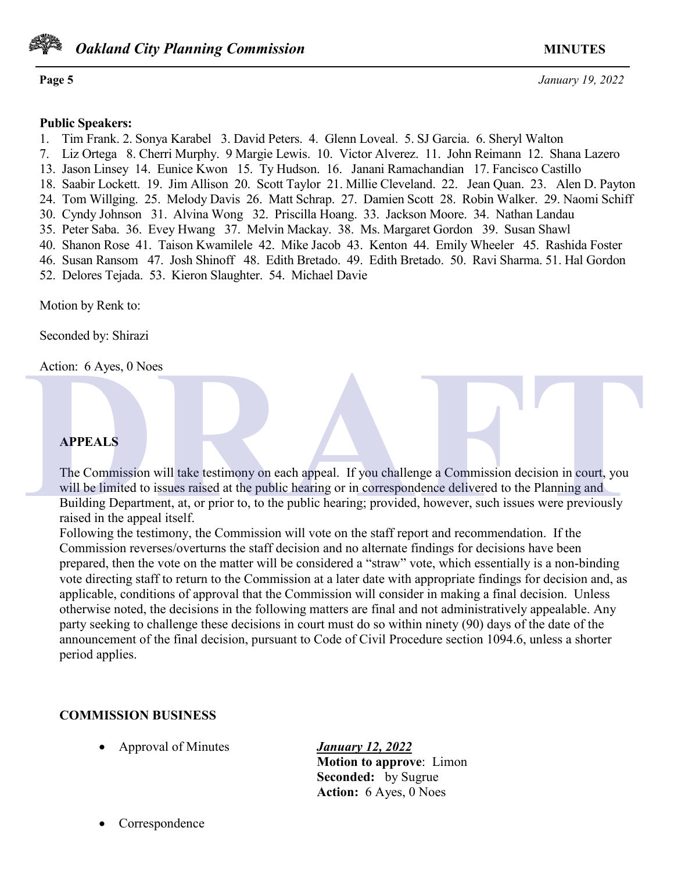

*Oakland City Planning Commission MINUTES* 

**Page 5** *January 19, 2022*

### **Public Speakers:**

1. Tim Frank. 2. Sonya Karabel 3. David Peters. 4. Glenn Loveal. 5. SJ Garcia. 6. Sheryl Walton

- 7. Liz Ortega 8. Cherri Murphy. 9 Margie Lewis. 10. Victor Alverez. 11. John Reimann 12. Shana Lazero
- 13. Jason Linsey 14. Eunice Kwon 15. Ty Hudson. 16. Janani Ramachandian 17. Fancisco Castillo
- 18. Saabir Lockett. 19. Jim Allison 20. Scott Taylor 21. Millie Cleveland. 22. Jean Quan. 23. Alen D. Payton
- 24. Tom Willging. 25. Melody Davis 26. Matt Schrap. 27. Damien Scott 28. Robin Walker. 29. Naomi Schiff
- 30. Cyndy Johnson 31. Alvina Wong 32. Priscilla Hoang. 33. Jackson Moore. 34. Nathan Landau
- 35. Peter Saba. 36. Evey Hwang 37. Melvin Mackay. 38. Ms. Margaret Gordon 39. Susan Shawl
- 40. Shanon Rose 41. Taison Kwamilele 42. Mike Jacob 43. Kenton 44. Emily Wheeler 45. Rashida Foster
- 46. Susan Ransom 47. Josh Shinoff 48. Edith Bretado. 49. Edith Bretado. 50. Ravi Sharma. 51. Hal Gordon 52. Delores Tejada. 53. Kieron Slaughter. 54. Michael Davie

Motion by Renk to:

Seconded by: Shirazi

Action: 6 Ayes, 0 Noes

## **APPEALS**

The Commission will take testimony on each appeal. If you challenge a Commission decision in court, you will be limited to issues raised at the public hearing or in correspondence delivered to the Planning and Building Department, at, or prior to, to the public hearing; provided, however, such issues were previously raised in the appeal itself. Action: 6 Ayes, 0 Noes<br> **APPEALS**<br>
The Commission will take testimony on each appeal. If you challenge a Commission decision in court, you<br>
will be limited to issues raised at the public hearing or in correspondence delive

Following the testimony, the Commission will vote on the staff report and recommendation. If the Commission reverses/overturns the staff decision and no alternate findings for decisions have been prepared, then the vote on the matter will be considered a "straw" vote, which essentially is a non-binding vote directing staff to return to the Commission at a later date with appropriate findings for decision and, as applicable, conditions of approval that the Commission will consider in making a final decision. Unless otherwise noted, the decisions in the following matters are final and not administratively appealable. Any party seeking to challenge these decisions in court must do so within ninety (90) days of the date of the announcement of the final decision, pursuant to Code of Civil Procedure section 1094.6, unless a shorter period applies.

## **COMMISSION BUSINESS**

• Approval of Minutes *January 12, 2022* 

**Motion to approve**: Limon **Seconded:** by Sugrue **Action:** 6 Ayes, 0 Noes

• Correspondence